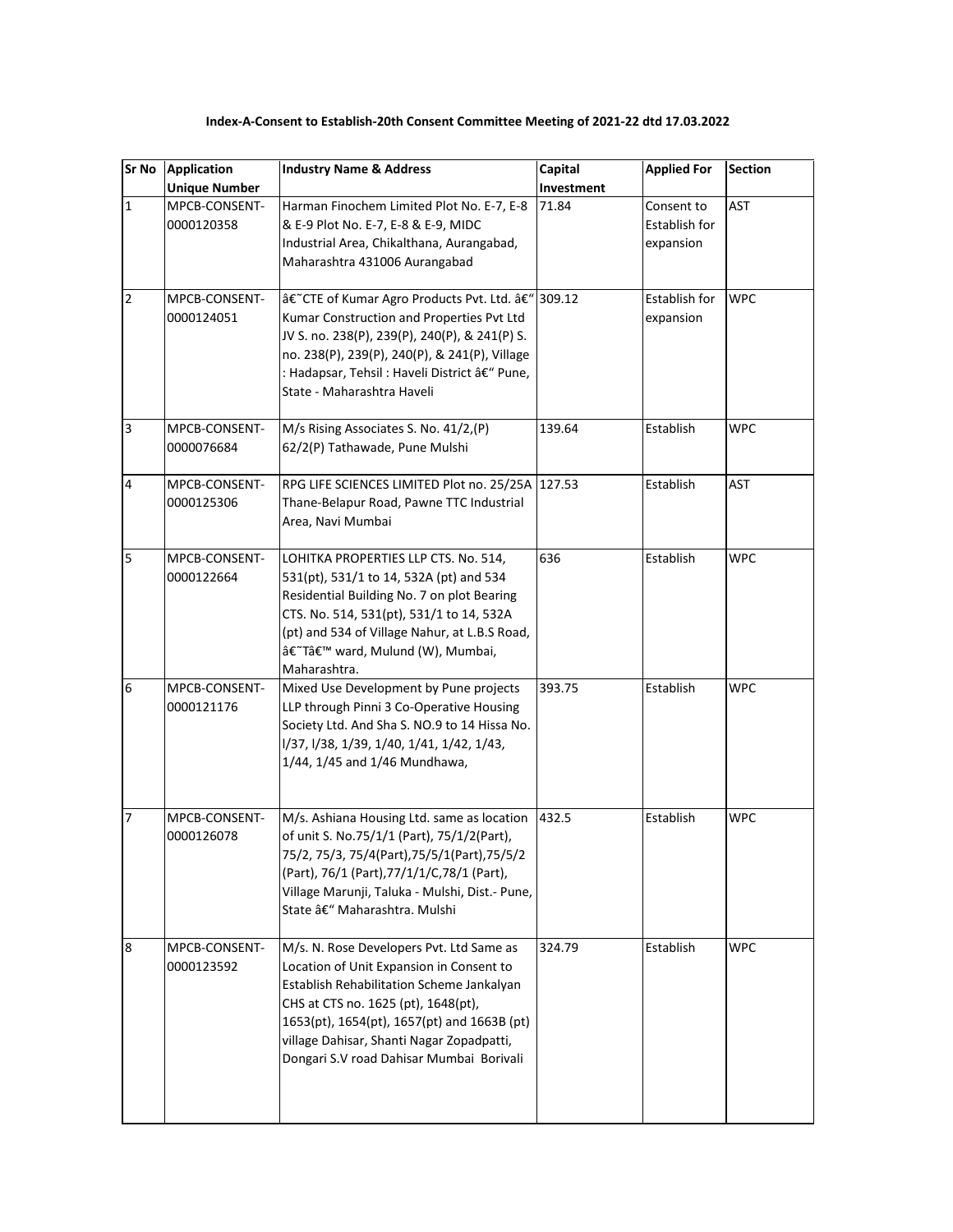## **Index-A-Consent to Establish-20th Consent Committee Meeting of 2021-22 dtd 17.03.2022**

| Sr No                   | <b>Application</b>          | <b>Industry Name &amp; Address</b>                                                                                                                                                                                                                                                                               | Capital    | <b>Applied For</b>                       | <b>Section</b> |
|-------------------------|-----------------------------|------------------------------------------------------------------------------------------------------------------------------------------------------------------------------------------------------------------------------------------------------------------------------------------------------------------|------------|------------------------------------------|----------------|
|                         | <b>Unique Number</b>        |                                                                                                                                                                                                                                                                                                                  | Investment |                                          |                |
| $\overline{1}$          | MPCB-CONSENT-<br>0000120358 | Harman Finochem Limited Plot No. E-7, E-8<br>& E-9 Plot No. E-7, E-8 & E-9, MIDC<br>Industrial Area, Chikalthana, Aurangabad,<br>Maharashtra 431006 Aurangabad                                                                                                                                                   | 71.84      | Consent to<br>Establish for<br>expansion | AST            |
| $\overline{2}$          | MPCB-CONSENT-<br>0000124051 | â€~CTE of Kumar Agro Products Pvt. Ltd. â€" 309.12<br>Kumar Construction and Properties Pvt Ltd<br>JV S. no. 238(P), 239(P), 240(P), & 241(P) S.<br>no. 238(P), 239(P), 240(P), & 241(P), Village<br>: Hadapsar, Tehsil : Haveli District – Pune,<br>State - Maharashtra Haveli                                  |            | Establish for<br>expansion               | <b>WPC</b>     |
| $\overline{\mathbf{3}}$ | MPCB-CONSENT-<br>0000076684 | M/s Rising Associates S. No. 41/2,(P)<br>62/2(P) Tathawade, Pune Mulshi                                                                                                                                                                                                                                          | 139.64     | Establish                                | <b>WPC</b>     |
| $\overline{\mathbf{4}}$ | MPCB-CONSENT-<br>0000125306 | RPG LIFE SCIENCES LIMITED Plot no. 25/25A 127.53<br>Thane-Belapur Road, Pawne TTC Industrial<br>Area, Navi Mumbai                                                                                                                                                                                                |            | Establish                                | AST            |
| 5                       | MPCB-CONSENT-<br>0000122664 | LOHITKA PROPERTIES LLP CTS. No. 514,<br>531(pt), 531/1 to 14, 532A (pt) and 534<br>Residential Building No. 7 on plot Bearing<br>CTS. No. 514, 531(pt), 531/1 to 14, 532A<br>(pt) and 534 of Village Nahur, at L.B.S Road,<br>â€~T' ward, Mulund (W), Mumbai,<br>Maharashtra.                                    | 636        | Establish                                | <b>WPC</b>     |
| 6                       | MPCB-CONSENT-<br>0000121176 | Mixed Use Development by Pune projects<br>LLP through Pinni 3 Co-Operative Housing<br>Society Ltd. And Sha S. NO.9 to 14 Hissa No.<br>1/37, 1/38, 1/39, 1/40, 1/41, 1/42, 1/43,<br>1/44, 1/45 and 1/46 Mundhawa,                                                                                                 | 393.75     | Establish                                | <b>WPC</b>     |
| 17                      | MPCB-CONSENT-<br>0000126078 | M/s. Ashiana Housing Ltd. same as location<br>of unit S. No.75/1/1 (Part), 75/1/2(Part),<br>75/2, 75/3, 75/4(Part), 75/5/1(Part), 75/5/2<br>(Part), 76/1 (Part), 77/1/1/C, 78/1 (Part),<br>Village Marunji, Taluka - Mulshi, Dist.- Pune,<br>State – Maharashtra. Mulshi                                         | 432.5      | Establish                                | <b>WPC</b>     |
| 8                       | MPCB-CONSENT-<br>0000123592 | M/s. N. Rose Developers Pvt. Ltd Same as<br>Location of Unit Expansion in Consent to<br>Establish Rehabilitation Scheme Jankalyan<br>CHS at CTS no. 1625 (pt), 1648(pt),<br>1653(pt), 1654(pt), 1657(pt) and 1663B (pt)<br>village Dahisar, Shanti Nagar Zopadpatti,<br>Dongari S.V road Dahisar Mumbai Borivali | 324.79     | Establish                                | WPC            |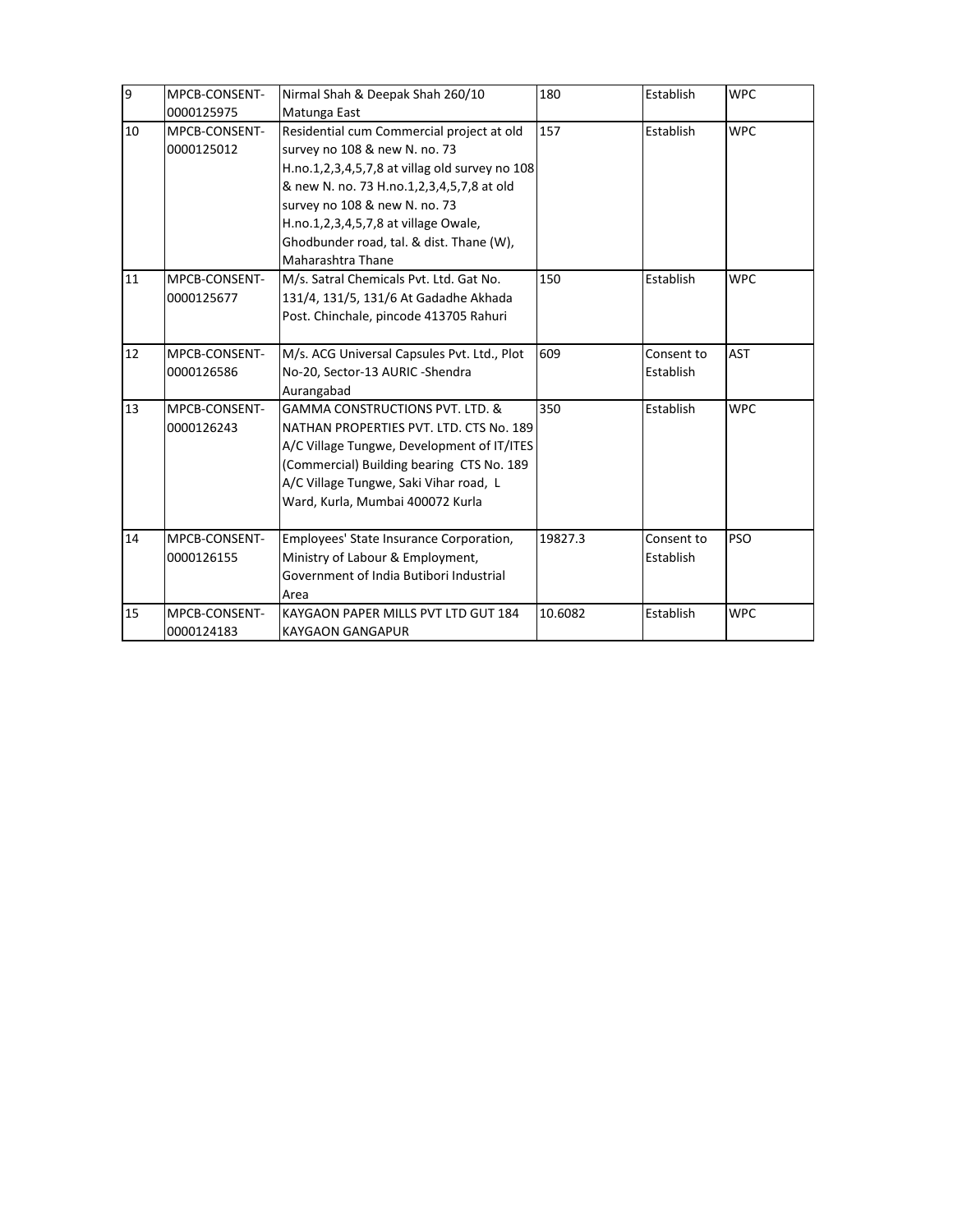| $\overline{9}$ | MPCB-CONSENT-<br>0000125975 | Nirmal Shah & Deepak Shah 260/10<br>Matunga East                                                                                                                                                                                                                                                                    | 180     | Establish               | <b>WPC</b> |
|----------------|-----------------------------|---------------------------------------------------------------------------------------------------------------------------------------------------------------------------------------------------------------------------------------------------------------------------------------------------------------------|---------|-------------------------|------------|
| 10             | MPCB-CONSENT-<br>0000125012 | Residential cum Commercial project at old<br>survey no 108 & new N. no. 73<br>H.no.1,2,3,4,5,7,8 at villag old survey no 108<br>& new N. no. 73 H.no.1,2,3,4,5,7,8 at old<br>survey no 108 & new N. no. 73<br>H.no.1,2,3,4,5,7,8 at village Owale,<br>Ghodbunder road, tal. & dist. Thane (W),<br>Maharashtra Thane | 157     | Establish               | <b>WPC</b> |
| 11             | MPCB-CONSENT-<br>0000125677 | M/s. Satral Chemicals Pvt. Ltd. Gat No.<br>131/4, 131/5, 131/6 At Gadadhe Akhada<br>Post. Chinchale, pincode 413705 Rahuri                                                                                                                                                                                          | 150     | Establish               | <b>WPC</b> |
| 12             | MPCB-CONSENT-<br>0000126586 | M/s. ACG Universal Capsules Pvt. Ltd., Plot<br>No-20, Sector-13 AURIC -Shendra<br>Aurangabad                                                                                                                                                                                                                        | 609     | Consent to<br>Establish | <b>AST</b> |
| 13             | MPCB-CONSENT-<br>0000126243 | <b>GAMMA CONSTRUCTIONS PVT. LTD. &amp;</b><br>NATHAN PROPERTIES PVT. LTD. CTS No. 189<br>A/C Village Tungwe, Development of IT/ITES<br>(Commercial) Building bearing CTS No. 189<br>A/C Village Tungwe, Saki Vihar road, L<br>Ward, Kurla, Mumbai 400072 Kurla                                                      | 350     | Establish               | <b>WPC</b> |
| 14             | MPCB-CONSENT-<br>0000126155 | Employees' State Insurance Corporation,<br>Ministry of Labour & Employment,<br>Government of India Butibori Industrial<br>Area                                                                                                                                                                                      | 19827.3 | Consent to<br>Establish | <b>PSO</b> |
| 15             | MPCB-CONSENT-<br>0000124183 | KAYGAON PAPER MILLS PVT LTD GUT 184<br><b>KAYGAON GANGAPUR</b>                                                                                                                                                                                                                                                      | 10.6082 | Establish               | <b>WPC</b> |